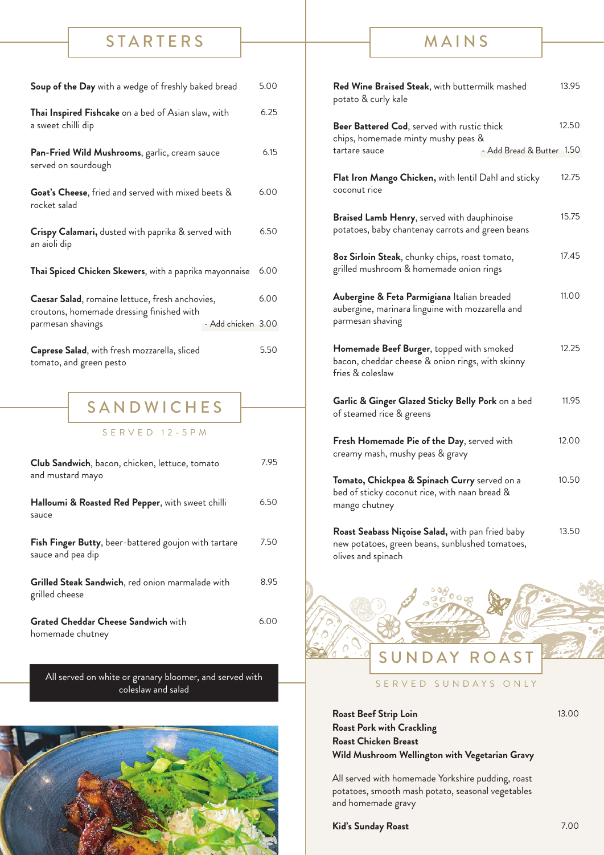#### **STARTERS**

| Soup of the Day with a wedge of freshly baked bread                                          |                    | 5.00 |
|----------------------------------------------------------------------------------------------|--------------------|------|
| Thai Inspired Fishcake on a bed of Asian slaw, with<br>a sweet chilli dip                    |                    | 6.25 |
| Pan-Fried Wild Mushrooms, garlic, cream sauce<br>served on sourdough                         |                    | 6.15 |
| Goat's Cheese, fried and served with mixed beets &<br>rocket salad                           |                    | 6.00 |
| Crispy Calamari, dusted with paprika & served with<br>an aioli dip                           |                    | 6.50 |
| Thai Spiced Chicken Skewers, with a paprika mayonnaise                                       |                    | 6.00 |
| Caesar Salad, romaine lettuce, fresh anchovies,<br>croutons, homemade dressing finished with |                    | 6.00 |
| parmesan shavings                                                                            | - Add chicken 3.00 |      |
| Caprese Salad, with fresh mozzarella, sliced<br>tomato, and green pesto                      |                    | 5.50 |
| SANDWICHES                                                                                   |                    |      |

SERVED 12-5PM

| <b>Club Sandwich</b> , bacon, chicken, lettuce, tomato<br>and mustard mayo | 7.95 |
|----------------------------------------------------------------------------|------|
| Halloumi & Roasted Red Pepper, with sweet chilli<br>sauce                  | 6.50 |
| Fish Finger Butty, beer-battered goujon with tartare<br>sauce and pea dip  | 7.50 |
| Grilled Steak Sandwich, red onion marmalade with<br>grilled cheese         | 8.95 |
| <b>Grated Cheddar Cheese Sandwich with</b><br>homemade chutney             | 6.00 |

All served on white or granary bloomer, and served with coleslaw and salad



## MAINS

| Red Wine Braised Steak, with buttermilk mashed<br>potato & curly kale                                               |                           | 13.95 |
|---------------------------------------------------------------------------------------------------------------------|---------------------------|-------|
| Beer Battered Cod, served with rustic thick<br>chips, homemade minty mushy peas &                                   |                           | 12.50 |
| tartare sauce                                                                                                       | - Add Bread & Butter 1.50 |       |
| Flat Iron Mango Chicken, with lentil Dahl and sticky<br>coconut rice                                                |                           | 12.75 |
| Braised Lamb Henry, served with dauphinoise<br>potatoes, baby chantenay carrots and green beans                     |                           | 15.75 |
| 8oz Sirloin Steak, chunky chips, roast tomato,<br>grilled mushroom & homemade onion rings                           |                           | 17.45 |
| Aubergine & Feta Parmigiana Italian breaded<br>aubergine, marinara linguine with mozzarella and<br>parmesan shaving |                           | 11.00 |
| Homemade Beef Burger, topped with smoked<br>bacon, cheddar cheese & onion rings, with skinny<br>fries & coleslaw    |                           | 12.25 |
| Garlic & Ginger Glazed Sticky Belly Pork on a bed<br>of steamed rice & greens                                       |                           | 11.95 |
| Fresh Homemade Pie of the Day, served with<br>creamy mash, mushy peas & gravy                                       |                           | 12.00 |
| Tomato, Chickpea & Spinach Curry served on a<br>bed of sticky coconut rice, with naan bread &<br>mango chutney      |                           | 10.50 |
| Roast Seabass Niçoise Salad, with pan fried baby<br>new potatoes, green beans, sunblushed tomatoes,                 |                           | 13.50 |



SERVED SUNDAYS ONLY

**Roast Beef Strip Loin Roast Pork with Crackling Roast Chicken Breast Wild Mushroom Wellington with Vegetarian Gravy**

All served with homemade Yorkshire pudding, roast potatoes, smooth mash potato, seasonal vegetables and homemade gravy

**Kid's Sunday Roast** 7.00

olives and spinach

13.00